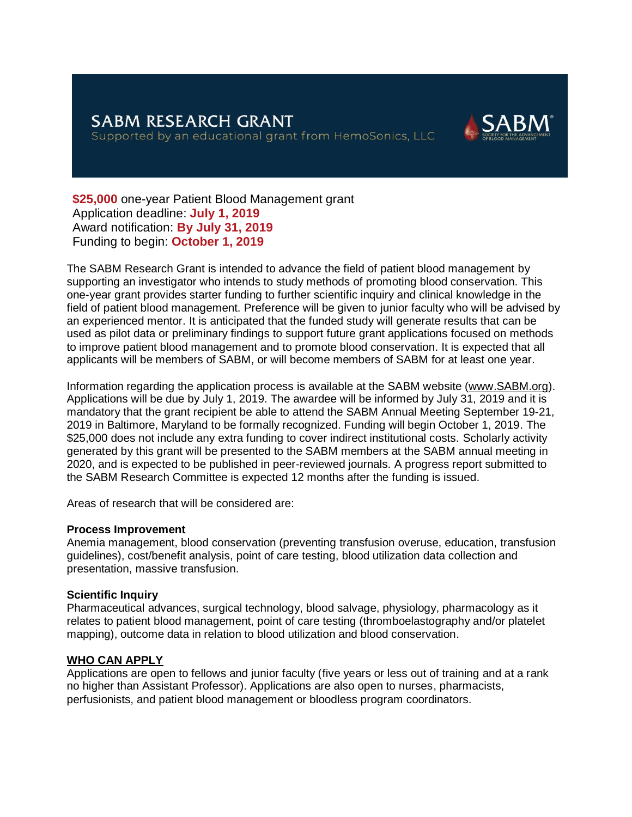

**\$25,000** one-year Patient Blood Management grant Application deadline: **July 1, 2019** Award notification: **By July 31, 2019** Funding to begin: **October 1, 2019**

The SABM Research Grant is intended to advance the field of patient blood management by supporting an investigator who intends to study methods of promoting blood conservation. This one-year grant provides starter funding to further scientific inquiry and clinical knowledge in the field of patient blood management. Preference will be given to junior faculty who will be advised by an experienced mentor. It is anticipated that the funded study will generate results that can be used as pilot data or preliminary findings to support future grant applications focused on methods to improve patient blood management and to promote blood conservation. It is expected that all applicants will be members of SABM, or will become members of SABM for at least one year.

Information regarding the application process is available at the SABM website [\(www.SABM.org\)](http://www.sabm.org/). Applications will be due by July 1, 2019. The awardee will be informed by July 31, 2019 and it is mandatory that the grant recipient be able to attend the SABM Annual Meeting September 19-21, 2019 in Baltimore, Maryland to be formally recognized. Funding will begin October 1, 2019. The \$25,000 does not include any extra funding to cover indirect institutional costs. Scholarly activity generated by this grant will be presented to the SABM members at the SABM annual meeting in 2020, and is expected to be published in peer-reviewed journals. A progress report submitted to the SABM Research Committee is expected 12 months after the funding is issued.

Areas of research that will be considered are:

#### **Process Improvement**

Anemia management, blood conservation (preventing transfusion overuse, education, transfusion guidelines), cost/benefit analysis, point of care testing, blood utilization data collection and presentation, massive transfusion.

#### **Scientific Inquiry**

Pharmaceutical advances, surgical technology, blood salvage, physiology, pharmacology as it relates to patient blood management, point of care testing (thromboelastography and/or platelet mapping), outcome data in relation to blood utilization and blood conservation.

#### **WHO CAN APPLY**

Applications are open to fellows and junior faculty (five years or less out of training and at a rank no higher than Assistant Professor). Applications are also open to nurses, pharmacists, perfusionists, and patient blood management or bloodless program coordinators.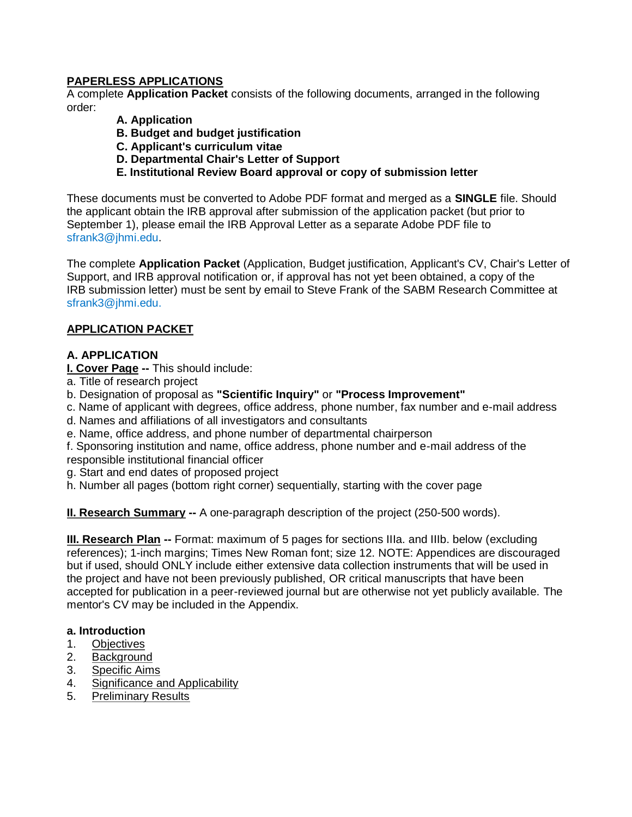# **PAPERLESS APPLICATIONS**

A complete **Application Packet** consists of the following documents, arranged in the following order:

- **A. Application**
- **B. Budget and budget justification**
- **C. Applicant's curriculum vitae**
- **D. Departmental Chair's Letter of Support**
- **E. Institutional Review Board approval or copy of submission letter**

These documents must be converted to Adobe PDF format and merged as a **SINGLE** file. Should the applicant obtain the IRB approval after submission of the application packet (but prior to September 1), please email the IRB Approval Letter as a separate Adobe PDF file to sfrank3@jhmi.edu.

The complete **Application Packet** (Application, Budget justification, Applicant's CV, Chair's Letter of Support, and IRB approval notification or, if approval has not yet been obtained, a copy of the IRB submission letter) must be sent by email to Steve Frank of the SABM Research Committee at sfrank3@jhmi.edu.

# **APPLICATION PACKET**

# **A. APPLICATION**

**I. Cover Page --** This should include:

- a. Title of research project
- b. Designation of proposal as **"Scientific Inquiry"** or **"Process Improvement"**
- c. Name of applicant with degrees, office address, phone number, fax number and e-mail address
- d. Names and affiliations of all investigators and consultants
- e. Name, office address, and phone number of departmental chairperson

f. Sponsoring institution and name, office address, phone number and e-mail address of the responsible institutional financial officer

- g. Start and end dates of proposed project
- h. Number all pages (bottom right corner) sequentially, starting with the cover page

**II. Research Summary** -- A one-paragraph description of the project (250-500 words).

**III. Research Plan --** Format: maximum of 5 pages for sections IIIa. and IIIb. below (excluding references); 1-inch margins; Times New Roman font; size 12. NOTE: Appendices are discouraged but if used, should ONLY include either extensive data collection instruments that will be used in the project and have not been previously published, OR critical manuscripts that have been accepted for publication in a peer-reviewed journal but are otherwise not yet publicly available. The mentor's CV may be included in the Appendix.

#### **a. Introduction**

- 1. Objectives
- 2. Background
- 3. Specific Aims
- 4. Significance and Applicability
- 5. Preliminary Results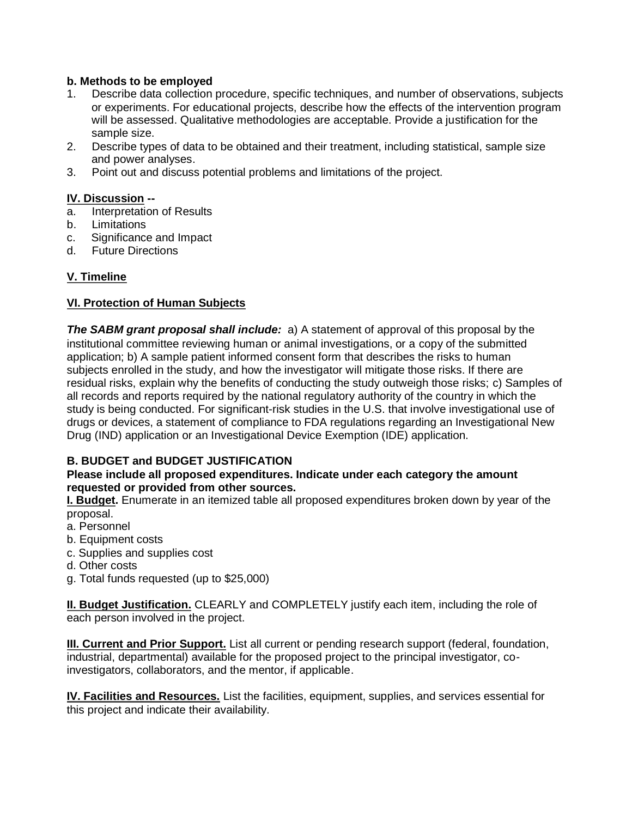#### **b. Methods to be employed**

- 1. Describe data collection procedure, specific techniques, and number of observations, subjects or experiments. For educational projects, describe how the effects of the intervention program will be assessed. Qualitative methodologies are acceptable. Provide a justification for the sample size.
- 2. Describe types of data to be obtained and their treatment, including statistical, sample size and power analyses.
- 3. Point out and discuss potential problems and limitations of the project.

#### **IV. Discussion --**

- a. Interpretation of Results
- b. Limitations
- c. Significance and Impact
- d. Future Directions

# **V. Timeline**

# **VI. Protection of Human Subjects**

**The SABM grant proposal shall include:** a) A statement of approval of this proposal by the institutional committee reviewing human or animal investigations, or a copy of the submitted application; b) A sample patient informed consent form that describes the risks to human subjects enrolled in the study, and how the investigator will mitigate those risks. If there are residual risks, explain why the benefits of conducting the study outweigh those risks; c) Samples of all records and reports required by the national regulatory authority of the country in which the study is being conducted. For significant-risk studies in the U.S. that involve investigational use of drugs or devices, a statement of compliance to FDA regulations regarding an Investigational New Drug (IND) application or an Investigational Device Exemption (IDE) application.

# **B. BUDGET and BUDGET JUSTIFICATION**

#### **Please include all proposed expenditures. Indicate under each category the amount requested or provided from other sources.**

**I. Budget.** Enumerate in an itemized table all proposed expenditures broken down by year of the proposal.

- a. Personnel
- b. Equipment costs
- c. Supplies and supplies cost
- d. Other costs
- g. Total funds requested (up to \$25,000)

**II. Budget Justification.** CLEARLY and COMPLETELY justify each item, including the role of each person involved in the project.

**III. Current and Prior Support.** List all current or pending research support (federal, foundation, industrial, departmental) available for the proposed project to the principal investigator, coinvestigators, collaborators, and the mentor, if applicable.

**IV. Facilities and Resources.** List the facilities, equipment, supplies, and services essential for this project and indicate their availability.